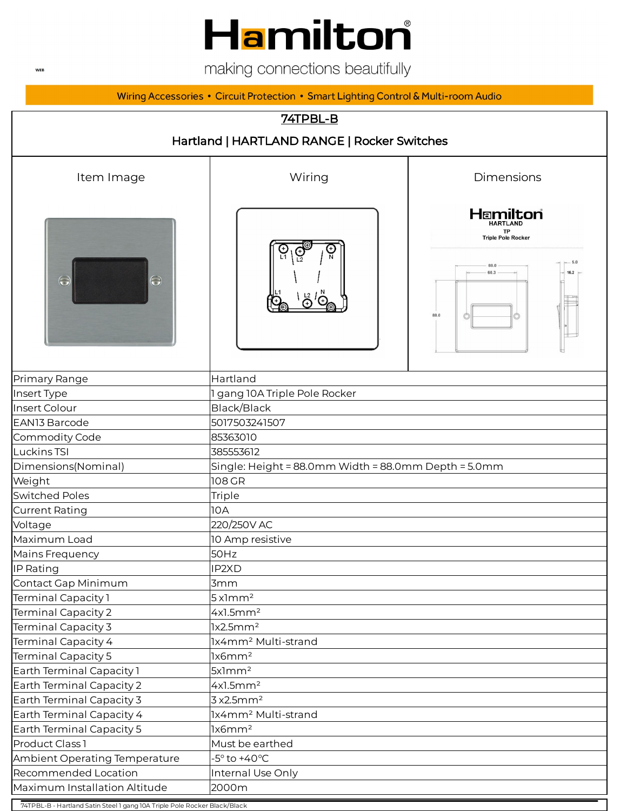## Hamilton®

making connections beautifully

Wiring Accessories • Circuit Protection • Smart Lighting Control & Multi-room Audio



74TPBL-B - Hartland Satin Steel 1 gang 10A Triple Pole Rocker Black/Black

**WEB**